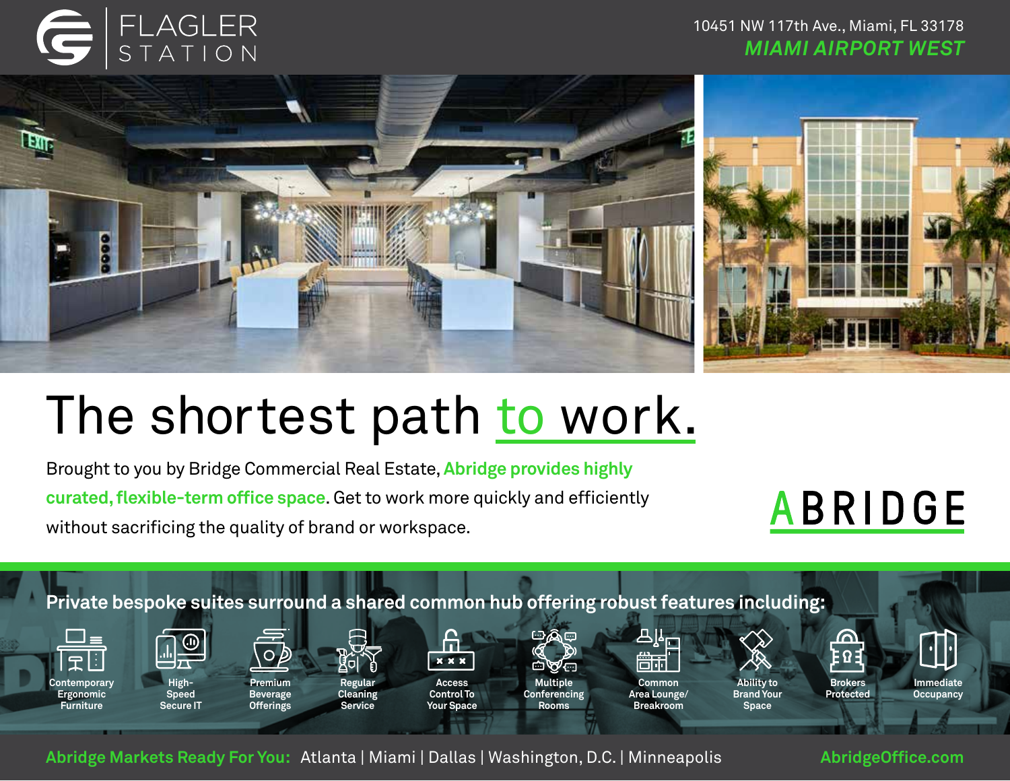# FLAGLER<br>STATION

### 10451 NW 117th Ave., Miami, FL 33178 *MIAMI AIRPORT WEST*



## The shortest path to work.

Brought to you by Bridge Commercial Real Estate, **Abridge provides highly curated, flexible-term office space**. Get to work more quickly and efficiently without sacrificing the quality of brand or workspace.

**ABRIDGE** 



**Abridge Markets Ready For You:** Atlanta | Miami | Dallas | Washington, D.C. | Minneapolis **[AbridgeOffice.com](http://abridgeoffice.com/#locations)**